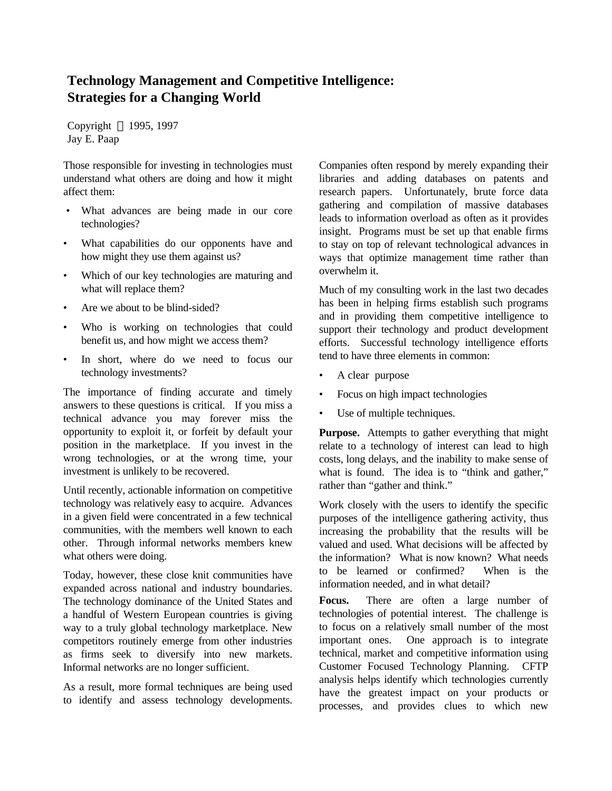## **Technology Management and Competitive Intelligence: Strategies for a Changing World**

Copyright © 1995, 1997 Jay E. Paap

Those responsible for investing in technologies must understand what others are doing and how it might affect them:

- What advances are being made in our core technologies?
- What capabilities do our opponents have and how might they use them against us?
- Which of our key technologies are maturing and what will replace them?
- Are we about to be blind-sided?
- Who is working on technologies that could benefit us, and how might we access them?
- In short, where do we need to focus our technology investments?

The importance of finding accurate and timely answers to these questions is critical. If you miss a technical advance you may forever miss the opportunity to exploit it, or forfeit by default your position in the marketplace. If you invest in the wrong technologies, or at the wrong time, your investment is unlikely to be recovered.

Until recently, actionable information on competitive technology was relatively easy to acquire. Advances in a given field were concentrated in a few technical communities, with the members well known to each other. Through informal networks members knew what others were doing.

Today, however, these close knit communities have expanded across national and industry boundaries. The technology dominance of the United States and a handful of Western European countries is giving way to a truly global technology marketplace. New competitors routinely emerge from other industries as firms seek to diversify into new markets. Informal networks are no longer sufficient.

As a result, more formal techniques are being used to identify and assess technology developments. Companies often respond by merely expanding their libraries and adding databases on patents and research papers. Unfortunately, brute force data gathering and compilation of massive databases leads to information overload as often as it provides insight. Programs must be set up that enable firms to stay on top of relevant technological advances in ways that optimize management time rather than overwhelm it.

Much of my consulting work in the last two decades has been in helping firms establish such programs and in providing them competitive intelligence to support their technology and product development efforts. Successful technology intelligence efforts tend to have three elements in common:

- A clear purpose
- Focus on high impact technologies
- Use of multiple techniques.

**Purpose.** Attempts to gather everything that might relate to a technology of interest can lead to high costs, long delays, and the inability to make sense of what is found. The idea is to "think and gather," rather than "gather and think."

Work closely with the users to identify the specific purposes of the intelligence gathering activity, thus increasing the probability that the results will be valued and used. What decisions will be affected by the information? What is now known? What needs to be learned or confirmed? When is the information needed, and in what detail?

**Focus.** There are often a large number of technologies of potential interest. The challenge is to focus on a relatively small number of the most important ones. One approach is to integrate technical, market and competitive information using Customer Focused Technology Planning. CFTP analysis helps identify which technologies currently have the greatest impact on your products or processes, and provides clues to which new